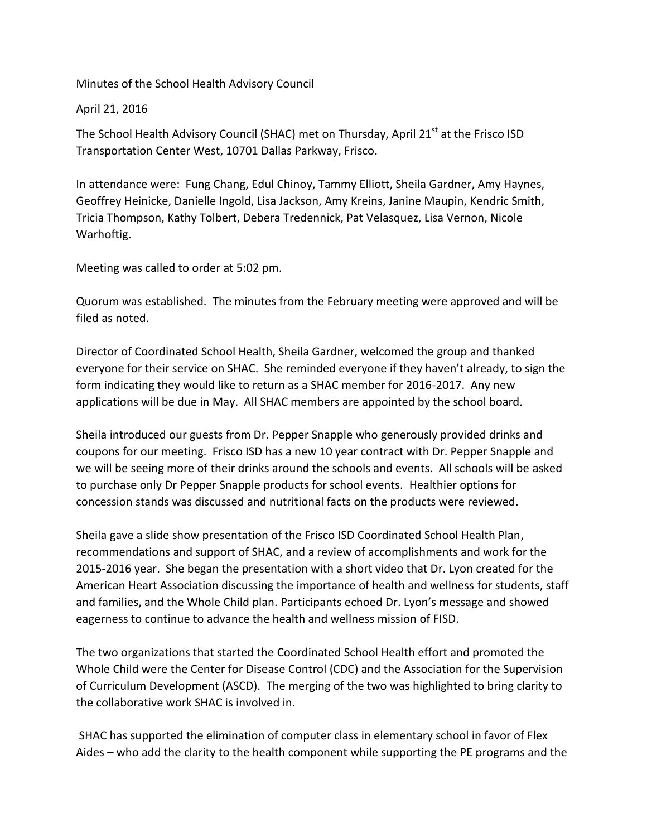Minutes of the School Health Advisory Council

April 21, 2016

The School Health Advisory Council (SHAC) met on Thursday, April 21<sup>st</sup> at the Frisco ISD Transportation Center West, 10701 Dallas Parkway, Frisco.

In attendance were: Fung Chang, Edul Chinoy, Tammy Elliott, Sheila Gardner, Amy Haynes, Geoffrey Heinicke, Danielle Ingold, Lisa Jackson, Amy Kreins, Janine Maupin, Kendric Smith, Tricia Thompson, Kathy Tolbert, Debera Tredennick, Pat Velasquez, Lisa Vernon, Nicole Warhoftig.

Meeting was called to order at 5:02 pm.

Quorum was established. The minutes from the February meeting were approved and will be filed as noted.

Director of Coordinated School Health, Sheila Gardner, welcomed the group and thanked everyone for their service on SHAC. She reminded everyone if they haven't already, to sign the form indicating they would like to return as a SHAC member for 2016-2017. Any new applications will be due in May. All SHAC members are appointed by the school board.

Sheila introduced our guests from Dr. Pepper Snapple who generously provided drinks and coupons for our meeting. Frisco ISD has a new 10 year contract with Dr. Pepper Snapple and we will be seeing more of their drinks around the schools and events. All schools will be asked to purchase only Dr Pepper Snapple products for school events. Healthier options for concession stands was discussed and nutritional facts on the products were reviewed.

Sheila gave a slide show presentation of the Frisco ISD Coordinated School Health Plan, recommendations and support of SHAC, and a review of accomplishments and work for the 2015-2016 year. She began the presentation with a short video that Dr. Lyon created for the American Heart Association discussing the importance of health and wellness for students, staff and families, and the Whole Child plan. Participants echoed Dr. Lyon's message and showed eagerness to continue to advance the health and wellness mission of FISD.

The two organizations that started the Coordinated School Health effort and promoted the Whole Child were the Center for Disease Control (CDC) and the Association for the Supervision of Curriculum Development (ASCD). The merging of the two was highlighted to bring clarity to the collaborative work SHAC is involved in.

SHAC has supported the elimination of computer class in elementary school in favor of Flex Aides – who add the clarity to the health component while supporting the PE programs and the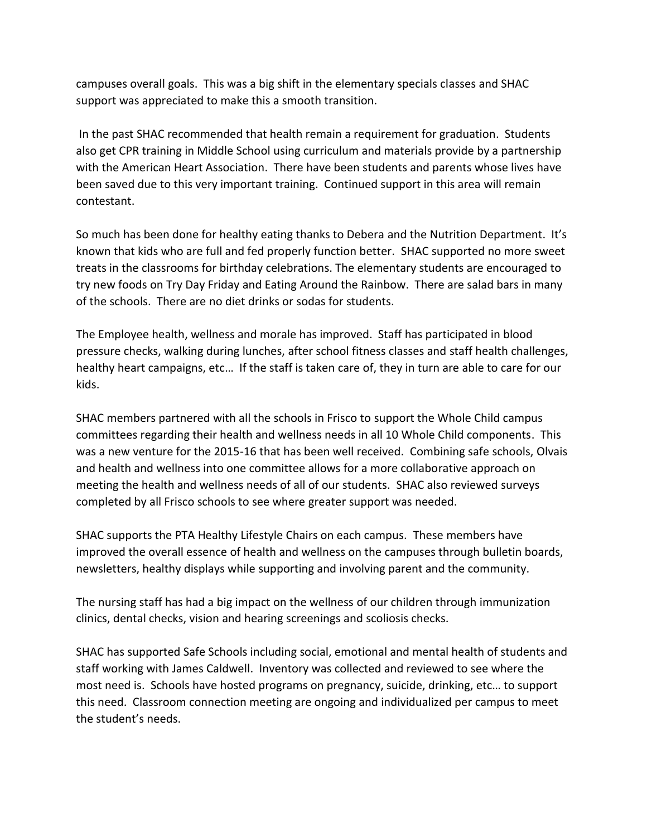campuses overall goals. This was a big shift in the elementary specials classes and SHAC support was appreciated to make this a smooth transition.

In the past SHAC recommended that health remain a requirement for graduation. Students also get CPR training in Middle School using curriculum and materials provide by a partnership with the American Heart Association. There have been students and parents whose lives have been saved due to this very important training. Continued support in this area will remain contestant.

So much has been done for healthy eating thanks to Debera and the Nutrition Department. It's known that kids who are full and fed properly function better. SHAC supported no more sweet treats in the classrooms for birthday celebrations. The elementary students are encouraged to try new foods on Try Day Friday and Eating Around the Rainbow. There are salad bars in many of the schools. There are no diet drinks or sodas for students.

The Employee health, wellness and morale has improved. Staff has participated in blood pressure checks, walking during lunches, after school fitness classes and staff health challenges, healthy heart campaigns, etc… If the staff is taken care of, they in turn are able to care for our kids.

SHAC members partnered with all the schools in Frisco to support the Whole Child campus committees regarding their health and wellness needs in all 10 Whole Child components. This was a new venture for the 2015-16 that has been well received. Combining safe schools, Olvais and health and wellness into one committee allows for a more collaborative approach on meeting the health and wellness needs of all of our students. SHAC also reviewed surveys completed by all Frisco schools to see where greater support was needed.

SHAC supports the PTA Healthy Lifestyle Chairs on each campus. These members have improved the overall essence of health and wellness on the campuses through bulletin boards, newsletters, healthy displays while supporting and involving parent and the community.

The nursing staff has had a big impact on the wellness of our children through immunization clinics, dental checks, vision and hearing screenings and scoliosis checks.

SHAC has supported Safe Schools including social, emotional and mental health of students and staff working with James Caldwell. Inventory was collected and reviewed to see where the most need is. Schools have hosted programs on pregnancy, suicide, drinking, etc… to support this need. Classroom connection meeting are ongoing and individualized per campus to meet the student's needs.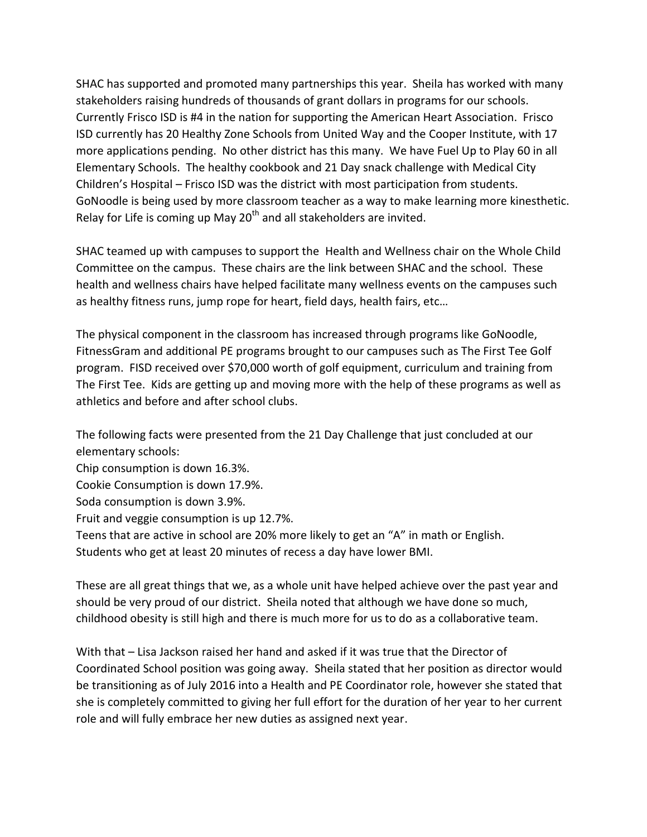SHAC has supported and promoted many partnerships this year. Sheila has worked with many stakeholders raising hundreds of thousands of grant dollars in programs for our schools. Currently Frisco ISD is #4 in the nation for supporting the American Heart Association. Frisco ISD currently has 20 Healthy Zone Schools from United Way and the Cooper Institute, with 17 more applications pending. No other district has this many. We have Fuel Up to Play 60 in all Elementary Schools. The healthy cookbook and 21 Day snack challenge with Medical City Children's Hospital – Frisco ISD was the district with most participation from students. GoNoodle is being used by more classroom teacher as a way to make learning more kinesthetic. Relay for Life is coming up May  $20<sup>th</sup>$  and all stakeholders are invited.

SHAC teamed up with campuses to support the Health and Wellness chair on the Whole Child Committee on the campus. These chairs are the link between SHAC and the school. These health and wellness chairs have helped facilitate many wellness events on the campuses such as healthy fitness runs, jump rope for heart, field days, health fairs, etc…

The physical component in the classroom has increased through programs like GoNoodle, FitnessGram and additional PE programs brought to our campuses such as The First Tee Golf program. FISD received over \$70,000 worth of golf equipment, curriculum and training from The First Tee. Kids are getting up and moving more with the help of these programs as well as athletics and before and after school clubs.

The following facts were presented from the 21 Day Challenge that just concluded at our elementary schools:

Chip consumption is down 16.3%.

Cookie Consumption is down 17.9%.

Soda consumption is down 3.9%.

Fruit and veggie consumption is up 12.7%.

Teens that are active in school are 20% more likely to get an "A" in math or English.

Students who get at least 20 minutes of recess a day have lower BMI.

These are all great things that we, as a whole unit have helped achieve over the past year and should be very proud of our district. Sheila noted that although we have done so much, childhood obesity is still high and there is much more for us to do as a collaborative team.

With that – Lisa Jackson raised her hand and asked if it was true that the Director of Coordinated School position was going away. Sheila stated that her position as director would be transitioning as of July 2016 into a Health and PE Coordinator role, however she stated that she is completely committed to giving her full effort for the duration of her year to her current role and will fully embrace her new duties as assigned next year.